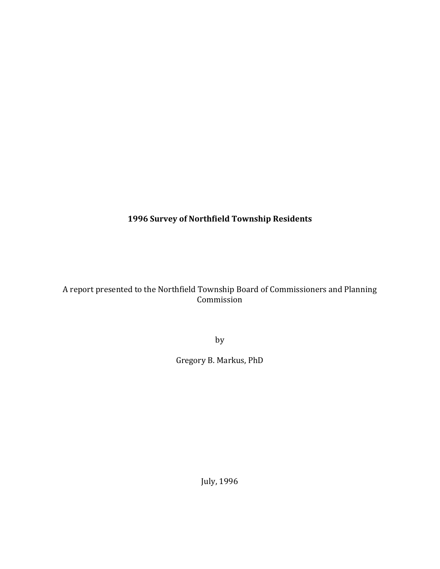**1996 Survey of Northfield Township Residents**

A report presented to the Northfield Township Board of Commissioners and Planning Commission

by 

Gregory B. Markus, PhD

July, 1996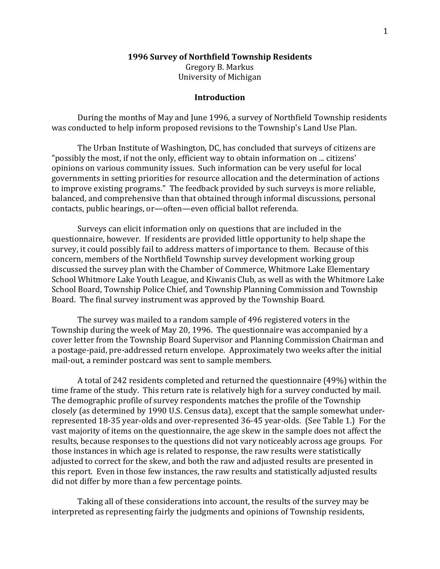#### **1996 Survey of Northfield Township Residents**

Gregory B. Markus University of Michigan

#### **Introduction**

During the months of May and June 1996, a survey of Northfield Township residents was conducted to help inform proposed revisions to the Township's Land Use Plan.

The Urban Institute of Washington, DC, has concluded that surveys of citizens are "possibly the most, if not the only, efficient way to obtain information on ... citizens' opinions on various community issues. Such information can be very useful for local governments in setting priorities for resource allocation and the determination of actions to improve existing programs." The feedback provided by such surveys is more reliable, balanced, and comprehensive than that obtained through informal discussions, personal contacts, public hearings, or-often-even official ballot referenda.

Surveys can elicit information only on questions that are included in the questionnaire, however. If residents are provided little opportunity to help shape the survey, it could possibly fail to address matters of importance to them. Because of this concern, members of the Northfield Township survey development working group discussed the survey plan with the Chamber of Commerce, Whitmore Lake Elementary School Whitmore Lake Youth League, and Kiwanis Club, as well as with the Whitmore Lake School Board, Township Police Chief, and Township Planning Commission and Township Board. The final survey instrument was approved by the Township Board.

The survey was mailed to a random sample of 496 registered voters in the Township during the week of May 20, 1996. The questionnaire was accompanied by a cover letter from the Township Board Supervisor and Planning Commission Chairman and a postage-paid, pre-addressed return envelope. Approximately two weeks after the initial mail-out, a reminder postcard was sent to sample members.

A total of 242 residents completed and returned the questionnaire (49%) within the time frame of the study. This return rate is relatively high for a survey conducted by mail. The demographic profile of survey respondents matches the profile of the Township closely (as determined by 1990 U.S. Census data), except that the sample somewhat underrepresented 18-35 year-olds and over-represented 36-45 year-olds. (See Table 1.) For the vast majority of items on the questionnaire, the age skew in the sample does not affect the results, because responses to the questions did not vary noticeably across age groups. For those instances in which age is related to response, the raw results were statistically adjusted to correct for the skew, and both the raw and adjusted results are presented in this report. Even in those few instances, the raw results and statistically adjusted results did not differ by more than a few percentage points.

Taking all of these considerations into account, the results of the survey may be interpreted as representing fairly the judgments and opinions of Township residents,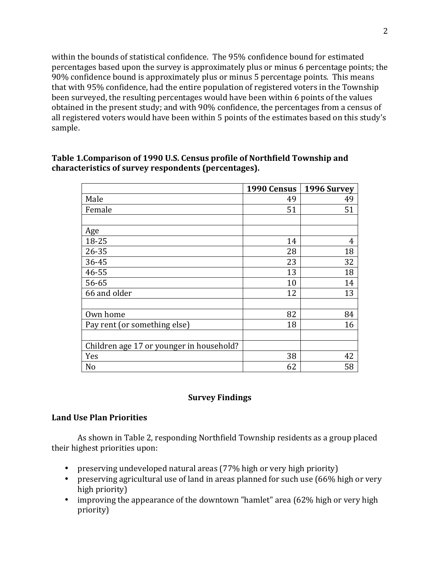within the bounds of statistical confidence. The 95% confidence bound for estimated percentages based upon the survey is approximately plus or minus 6 percentage points; the 90% confidence bound is approximately plus or minus 5 percentage points. This means that with 95% confidence, had the entire population of registered voters in the Township been surveyed, the resulting percentages would have been within 6 points of the values obtained in the present study; and with 90% confidence, the percentages from a census of all registered voters would have been within 5 points of the estimates based on this study's sample.

|                                          | 1990 Census | 1996 Survey |
|------------------------------------------|-------------|-------------|
| Male                                     | 49          | 49          |
| Female                                   | 51          | 51          |
|                                          |             |             |
| Age                                      |             |             |
| 18-25                                    | 14          | 4           |
| $26 - 35$                                | 28          | 18          |
| 36-45                                    | 23          | 32          |
| 46-55                                    | 13          | 18          |
| 56-65                                    | 10          | 14          |
| 66 and older                             | 12          | 13          |
|                                          |             |             |
| Own home                                 | 82          | 84          |
| Pay rent (or something else)             | 18          | 16          |
|                                          |             |             |
| Children age 17 or younger in household? |             |             |
| Yes                                      | 38          | 42          |
| N <sub>o</sub>                           | 62          | 58          |

# Table 1. Comparison of 1990 U.S. Census profile of Northfield Township and characteristics of survey respondents (percentages).

# **Survey Findings**

### **Land Use Plan Priorities**

As shown in Table 2, responding Northfield Township residents as a group placed their highest priorities upon:

- preserving undeveloped natural areas (77% high or very high priority)
- preserving agricultural use of land in areas planned for such use (66% high or very high priority)
- improving the appearance of the downtown "hamlet" area (62% high or very high priority)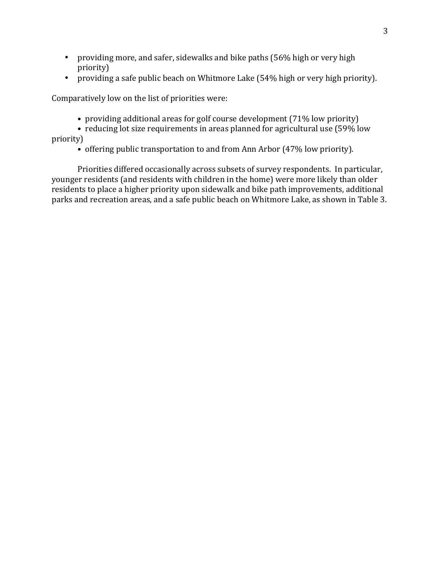- providing more, and safer, sidewalks and bike paths (56% high or very high priority)
- providing a safe public beach on Whitmore Lake (54% high or very high priority).

Comparatively low on the list of priorities were:

- providing additional areas for golf course development (71% low priority)
- reducing lot size requirements in areas planned for agricultural use (59% low priority)
	- offering public transportation to and from Ann Arbor (47% low priority).

Priorities differed occasionally across subsets of survey respondents. In particular, younger residents (and residents with children in the home) were more likely than older residents to place a higher priority upon sidewalk and bike path improvements, additional parks and recreation areas, and a safe public beach on Whitmore Lake, as shown in Table 3.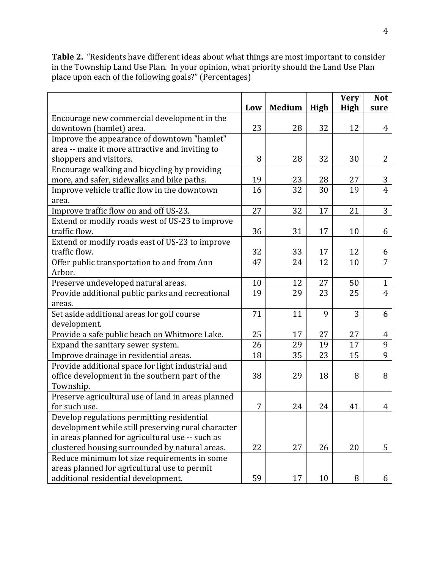Table 2. "Residents have different ideas about what things are most important to consider in the Township Land Use Plan. In your opinion, what priority should the Land Use Plan place upon each of the following goals?" (Percentages)

|                                                    |     |               |      | <b>Very</b> | <b>Not</b>     |
|----------------------------------------------------|-----|---------------|------|-------------|----------------|
|                                                    | Low | <b>Medium</b> | High | High        | sure           |
| Encourage new commercial development in the        |     |               |      |             |                |
| downtown (hamlet) area.                            | 23  | 28            | 32   | 12          | 4              |
| Improve the appearance of downtown "hamlet"        |     |               |      |             |                |
| area -- make it more attractive and inviting to    |     |               |      |             |                |
| shoppers and visitors.                             | 8   | 28            | 32   | 30          | 2              |
| Encourage walking and bicycling by providing       |     |               |      |             |                |
| more, and safer, sidewalks and bike paths.         | 19  | 23            | 28   | 27          | 3              |
| Improve vehicle traffic flow in the downtown       | 16  | 32            | 30   | 19          | $\overline{4}$ |
| area.                                              |     |               |      |             |                |
| Improve traffic flow on and off US-23.             | 27  | 32            | 17   | 21          | 3              |
| Extend or modify roads west of US-23 to improve    |     |               |      |             |                |
| traffic flow.                                      | 36  | 31            | 17   | 10          | 6              |
| Extend or modify roads east of US-23 to improve    |     |               |      |             |                |
| traffic flow.                                      | 32  | 33            | 17   | 12          | 6              |
| Offer public transportation to and from Ann        | 47  | 24            | 12   | 10          | $\overline{7}$ |
| Arbor.                                             |     |               |      |             |                |
| Preserve undeveloped natural areas.                | 10  | 12            | 27   | 50          | $\mathbf{1}$   |
| Provide additional public parks and recreational   | 19  | 29            | 23   | 25          | $\overline{4}$ |
| areas.                                             |     |               |      |             |                |
| Set aside additional areas for golf course         | 71  | 11            | 9    | 3           | 6              |
| development.                                       |     |               |      |             |                |
| Provide a safe public beach on Whitmore Lake.      | 25  | 17            | 27   | 27          | $\overline{4}$ |
| Expand the sanitary sewer system.                  | 26  | 29            | 19   | 17          | 9              |
| Improve drainage in residential areas.             | 18  | 35            | 23   | 15          | 9              |
| Provide additional space for light industrial and  |     |               |      |             |                |
| office development in the southern part of the     | 38  | 29            | 18   | 8           | 8              |
| Township.                                          |     |               |      |             |                |
| Preserve agricultural use of land in areas planned |     |               |      |             |                |
| for such use.                                      | 7   | 24            | 24   | 41          | 4              |
| Develop regulations permitting residential         |     |               |      |             |                |
| development while still preserving rural character |     |               |      |             |                |
| in areas planned for agricultural use -- such as   |     |               |      |             |                |
| clustered housing surrounded by natural areas.     | 22  | 27            | 26   | 20          | 5              |
| Reduce minimum lot size requirements in some       |     |               |      |             |                |
| areas planned for agricultural use to permit       |     |               |      |             |                |
| additional residential development.                | 59  | 17            | 10   | 8           | 6              |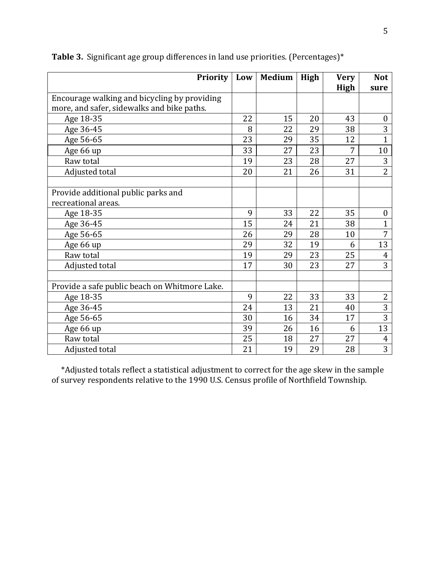| <b>Priority</b>                               | Low | <b>Medium</b> | High | <b>Very</b> | <b>Not</b>       |
|-----------------------------------------------|-----|---------------|------|-------------|------------------|
|                                               |     |               |      | High        | sure             |
| Encourage walking and bicycling by providing  |     |               |      |             |                  |
| more, and safer, sidewalks and bike paths.    |     |               |      |             |                  |
| Age 18-35                                     | 22  | 15            | 20   | 43          | $\boldsymbol{0}$ |
| Age 36-45                                     | 8   | 22            | 29   | 38          | 3                |
| Age 56-65                                     | 23  | 29            | 35   | 12          | $\mathbf{1}$     |
| Age 66 up                                     | 33  | 27            | 23   | 7           | 10               |
| Raw total                                     | 19  | 23            | 28   | 27          | 3                |
| Adjusted total                                | 20  | 21            | 26   | 31          | $\overline{2}$   |
|                                               |     |               |      |             |                  |
| Provide additional public parks and           |     |               |      |             |                  |
| recreational areas.                           |     |               |      |             |                  |
| Age 18-35                                     | 9   | 33            | 22   | 35          | $\boldsymbol{0}$ |
| Age 36-45                                     | 15  | 24            | 21   | 38          | $\mathbf{1}$     |
| Age 56-65                                     | 26  | 29            | 28   | 10          | 7                |
| Age 66 up                                     | 29  | 32            | 19   | 6           | 13               |
| Raw total                                     | 19  | 29            | 23   | 25          | $\overline{4}$   |
| Adjusted total                                | 17  | 30            | 23   | 27          | 3                |
|                                               |     |               |      |             |                  |
| Provide a safe public beach on Whitmore Lake. |     |               |      |             |                  |
| Age 18-35                                     | 9   | 22            | 33   | 33          | $\overline{2}$   |
| Age 36-45                                     | 24  | 13            | 21   | 40          | 3                |
| Age 56-65                                     | 30  | 16            | 34   | 17          | $\overline{3}$   |
| Age 66 up                                     | 39  | 26            | 16   | 6           | 13               |
| Raw total                                     | 25  | 18            | 27   | 27          | $\overline{4}$   |
| Adjusted total                                | 21  | 19            | 29   | 28          | 3                |

**Table 3.** Significant age group differences in land use priorities. (Percentages)\*

\*Adjusted totals reflect a statistical adjustment to correct for the age skew in the sample of survey respondents relative to the 1990 U.S. Census profile of Northfield Township.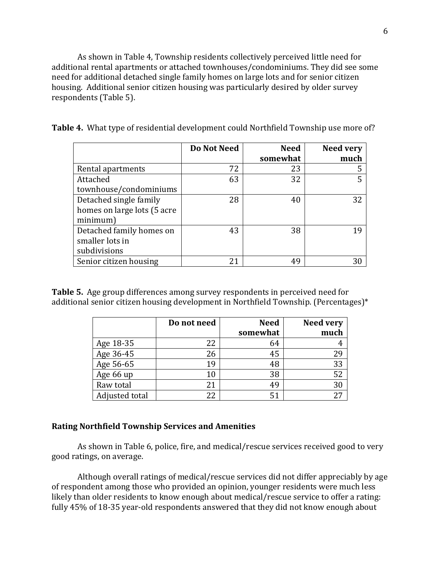As shown in Table 4, Township residents collectively perceived little need for additional rental apartments or attached townhouses/condominiums. They did see some need for additional detached single family homes on large lots and for senior citizen housing. Additional senior citizen housing was particularly desired by older survey respondents (Table 5).

|  |  | Table 4. What type of residential development could Northfield Township use more of? |  |
|--|--|--------------------------------------------------------------------------------------|--|
|  |  |                                                                                      |  |

|                             | Do Not Need | <b>Need</b> | <b>Need very</b> |
|-----------------------------|-------------|-------------|------------------|
|                             |             | somewhat    | much             |
| Rental apartments           | 72          | 23          | 5                |
| Attached                    | 63          | 32          | 5                |
| townhouse/condominiums      |             |             |                  |
| Detached single family      | 28          | 40          | 32               |
| homes on large lots (5 acre |             |             |                  |
| minimum)                    |             |             |                  |
| Detached family homes on    | 43          | 38          | 19               |
| smaller lots in             |             |             |                  |
| subdivisions                |             |             |                  |
| Senior citizen housing      | 21          | 49          | 30               |

**Table 5.** Age group differences among survey respondents in perceived need for additional senior citizen housing development in Northfield Township. (Percentages)\*

|                | Do not need | <b>Need</b> | <b>Need very</b> |
|----------------|-------------|-------------|------------------|
|                |             | somewhat    | much             |
| Age 18-35      | 22          | 64          |                  |
| Age 36-45      | 26          | 45          | 29               |
| Age 56-65      | 19          | 48          | 33               |
| Age 66 up      | 10          | 38          | 52               |
| Raw total      |             | 49          | 30               |
| Adjusted total | 22          | 51          | 27               |

#### **Rating Northfield Township Services and Amenities**

As shown in Table 6, police, fire, and medical/rescue services received good to very good ratings, on average.

Although overall ratings of medical/rescue services did not differ appreciably by age of respondent among those who provided an opinion, younger residents were much less likely than older residents to know enough about medical/rescue service to offer a rating: fully 45% of 18-35 year-old respondents answered that they did not know enough about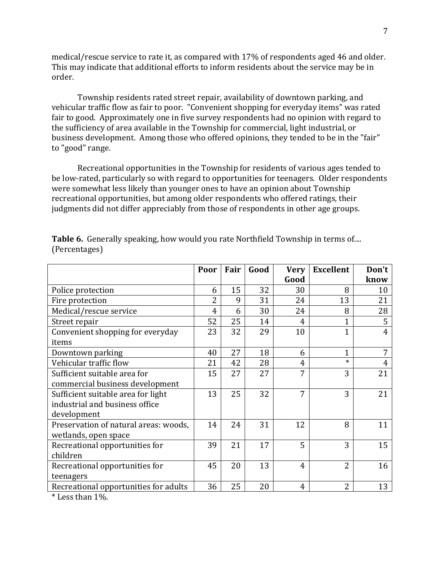medical/rescue service to rate it, as compared with 17% of respondents aged 46 and older. This may indicate that additional efforts to inform residents about the service may be in order.

Township residents rated street repair, availability of downtown parking, and vehicular traffic flow as fair to poor. "Convenient shopping for everyday items" was rated fair to good. Approximately one in five survey respondents had no opinion with regard to the sufficiency of area available in the Township for commercial, light industrial, or business development. Among those who offered opinions, they tended to be in the "fair" to "good" range.

Recreational opportunities in the Township for residents of various ages tended to be low-rated, particularly so with regard to opportunities for teenagers. Older respondents were somewhat less likely than younger ones to have an opinion about Township recreational opportunities, but among older respondents who offered ratings, their judgments did not differ appreciably from those of respondents in other age groups.

|                                       | Poor           | Fair | Good | <b>Very</b>    | <b>Excellent</b> | Don't |
|---------------------------------------|----------------|------|------|----------------|------------------|-------|
|                                       |                |      |      | Good           |                  | know  |
| Police protection                     | 6              | 15   | 32   | 30             | 8                | 10    |
| Fire protection                       | $\overline{2}$ | 9    | 31   | 24             | 13               | 21    |
| Medical/rescue service                | 4              | 6    | 30   | 24             | 8                | 28    |
| Street repair                         | 52             | 25   | 14   | 4              | 1                | 5     |
| Convenient shopping for everyday      | 23             | 32   | 29   | 10             | $\overline{1}$   | 4     |
| items                                 |                |      |      |                |                  |       |
| Downtown parking                      | 40             | 27   | 18   | 6              | $\mathbf{1}$     | 7     |
| Vehicular traffic flow                | 21             | 42   | 28   | $\overline{4}$ | $\ast$           | 4     |
| Sufficient suitable area for          | 15             | 27   | 27   | 7              | 3                | 21    |
| commercial business development       |                |      |      |                |                  |       |
| Sufficient suitable area for light    | 13             | 25   | 32   | 7              | 3                | 21    |
| industrial and business office        |                |      |      |                |                  |       |
| development                           |                |      |      |                |                  |       |
| Preservation of natural areas: woods, | 14             | 24   | 31   | 12             | 8                | 11    |
| wetlands, open space                  |                |      |      |                |                  |       |
| Recreational opportunities for        | 39             | 21   | 17   | 5              | 3                | 15    |
| children                              |                |      |      |                |                  |       |
| Recreational opportunities for        | 45             | 20   | 13   | 4              | $\overline{2}$   | 16    |
| teenagers                             |                |      |      |                |                  |       |
| Recreational opportunities for adults | 36             | 25   | 20   | 4              | $\overline{2}$   | 13    |

**Table 6.** Generally speaking, how would you rate Northfield Township in terms of.... (Percentages)

 $*$  Less than  $1\%$ .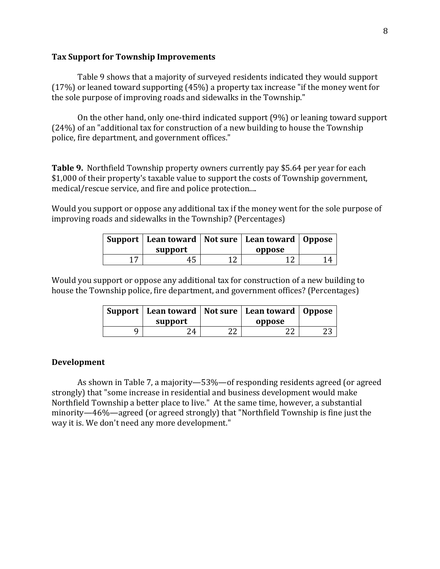#### **Tax Support for Township Improvements**

Table 9 shows that a majority of surveyed residents indicated they would support  $(17%)$  or leaned toward supporting  $(45%)$  a property tax increase "if the money went for the sole purpose of improving roads and sidewalks in the Township."

On the other hand, only one-third indicated support  $(9%)$  or leaning toward support  $(24%)$  of an "additional tax for construction of a new building to house the Township police, fire department, and government offices."

**Table 9.** Northfield Township property owners currently pay \$5.64 per year for each \$1,000 of their property's taxable value to support the costs of Township government. medical/rescue service, and fire and police protection....

Would you support or oppose any additional tax if the money went for the sole purpose of improving roads and sidewalks in the Township? (Percentages)

|                | Support   Lean toward   Not sure   Lean toward   Oppose<br>support |     | oppose |    |
|----------------|--------------------------------------------------------------------|-----|--------|----|
| $\overline{ }$ | 45                                                                 | 1 ก | 1 า    | 14 |

Would you support or oppose any additional tax for construction of a new building to house the Township police, fire department, and government offices? (Percentages)

| support |    | Support   Lean toward   Not sure   Lean toward   Oppose<br>oppose |  |
|---------|----|-------------------------------------------------------------------|--|
| 24      | າາ | າາ                                                                |  |

### **Development**

As shown in Table 7, a majority—53%—of responding residents agreed (or agreed strongly) that "some increase in residential and business development would make Northfield Township a better place to live." At the same time, however, a substantial minority—46%—agreed (or agreed strongly) that "Northfield Township is fine just the way it is. We don't need any more development."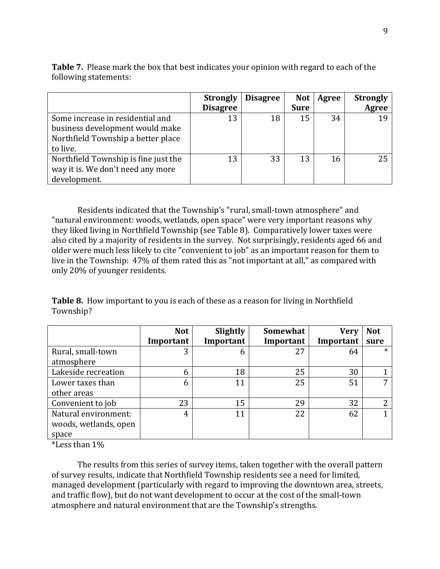|                                                                                                                       | <b>Strongly</b><br><b>Disagree</b> | <b>Disagree</b> | <b>Not</b><br><b>Sure</b> | Agree | <b>Strongly</b><br>Agree |
|-----------------------------------------------------------------------------------------------------------------------|------------------------------------|-----------------|---------------------------|-------|--------------------------|
| Some increase in residential and<br>business development would make<br>Northfield Township a better place<br>to live. | 13                                 | 18              | 15                        | 34    |                          |
| Northfield Township is fine just the<br>way it is. We don't need any more<br>development.                             | 13                                 | 33              | 13                        | 16    | 25                       |

**Table 7.** Please mark the box that best indicates your opinion with regard to each of the following statements:

Residents indicated that the Township's "rural, small-town atmosphere" and "natural environment: woods, wetlands, open space" were very important reasons why they liked living in Northfield Township (see Table 8). Comparatively lower taxes were also cited by a majority of residents in the survey. Not surprisingly, residents aged 66 and older were much less likely to cite "convenient to job" as an important reason for them to live in the Township: 47% of them rated this as "not important at all," as compared with only 20% of younger residents.

**Table 8.** How important to you is each of these as a reason for living in Northfield Township?

|                       | <b>Not</b> | Slightly  | Somewhat  | <b>Very</b> | <b>Not</b> |
|-----------------------|------------|-----------|-----------|-------------|------------|
|                       | Important  | Important | Important | Important   | sure       |
| Rural, small-town     | 3          | 6         | 27        | 64          | $\ast$     |
| atmosphere            |            |           |           |             |            |
| Lakeside recreation   | 6          | 18        | 25        | 30          |            |
| Lower taxes than      | 6          | 11        | 25        | 51          | 7          |
| other areas           |            |           |           |             |            |
| Convenient to job     | 23         | 15        | 29        | 32          | າ          |
| Natural environment:  | 4          | 11        | 22        | 62          |            |
| woods, wetlands, open |            |           |           |             |            |
| space                 |            |           |           |             |            |

\*Less than  $1\%$ 

The results from this series of survey items, taken together with the overall pattern of survey results, indicate that Northfield Township residents see a need for limited, managed development (particularly with regard to improving the downtown area, streets, and traffic flow), but do not want development to occur at the cost of the small-town atmosphere and natural environment that are the Township's strengths.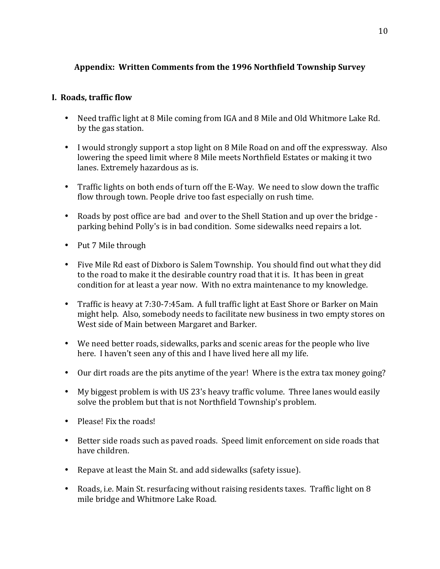# **Appendix: Written Comments from the 1996 Northfield Township Survey**

# **I. Roads, traffic flow**

- Need traffic light at 8 Mile coming from IGA and 8 Mile and Old Whitmore Lake Rd. by the gas station.
- I would strongly support a stop light on 8 Mile Road on and off the expressway. Also lowering the speed limit where 8 Mile meets Northfield Estates or making it two lanes. Extremely hazardous as is.
- Traffic lights on both ends of turn off the E-Way. We need to slow down the traffic flow through town. People drive too fast especially on rush time.
- Roads by post office are bad and over to the Shell Station and up over the bridge parking behind Polly's is in bad condition. Some sidewalks need repairs a lot.
- Put 7 Mile through
- Five Mile Rd east of Dixboro is Salem Township. You should find out what they did to the road to make it the desirable country road that it is. It has been in great condition for at least a year now. With no extra maintenance to my knowledge.
- Traffic is heavy at 7:30-7:45am. A full traffic light at East Shore or Barker on Main might help. Also, somebody needs to facilitate new business in two empty stores on West side of Main between Margaret and Barker.
- We need better roads, sidewalks, parks and scenic areas for the people who live here. I haven't seen any of this and I have lived here all my life.
- Our dirt roads are the pits anytime of the year! Where is the extra tax money going?
- My biggest problem is with US 23's heavy traffic volume. Three lanes would easily solve the problem but that is not Northfield Township's problem.
- $\bullet$  Please! Fix the roads!
- Better side roads such as paved roads. Speed limit enforcement on side roads that have children.
- Repave at least the Main St. and add sidewalks (safety issue).
- Roads, i.e. Main St. resurfacing without raising residents taxes. Traffic light on 8 mile bridge and Whitmore Lake Road.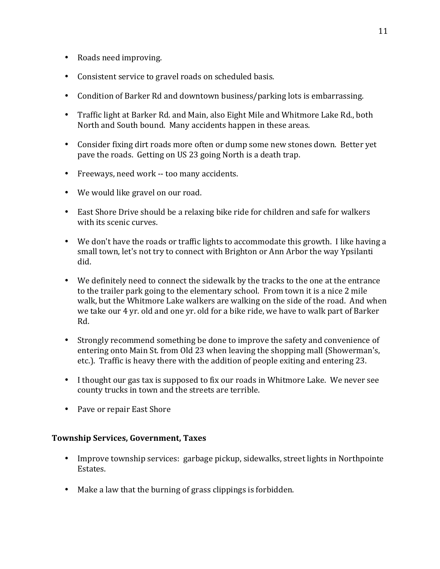- Roads need improving.
- Consistent service to gravel roads on scheduled basis.
- Condition of Barker Rd and downtown business/parking lots is embarrassing.
- Traffic light at Barker Rd. and Main, also Eight Mile and Whitmore Lake Rd., both North and South bound. Many accidents happen in these areas.
- Consider fixing dirt roads more often or dump some new stones down. Better yet pave the roads. Getting on US 23 going North is a death trap.
- Freeways, need work -- too many accidents.
- We would like gravel on our road.
- East Shore Drive should be a relaxing bike ride for children and safe for walkers with its scenic curves.
- We don't have the roads or traffic lights to accommodate this growth. I like having a small town, let's not try to connect with Brighton or Ann Arbor the way Ypsilanti did.
- We definitely need to connect the sidewalk by the tracks to the one at the entrance to the trailer park going to the elementary school. From town it is a nice 2 mile walk, but the Whitmore Lake walkers are walking on the side of the road. And when we take our 4 yr. old and one yr. old for a bike ride, we have to walk part of Barker Rd.
- Strongly recommend something be done to improve the safety and convenience of entering onto Main St. from Old 23 when leaving the shopping mall (Showerman's, etc.). Traffic is heavy there with the addition of people exiting and entering 23.
- I thought our gas tax is supposed to fix our roads in Whitmore Lake. We never see county trucks in town and the streets are terrible.
- Pave or repair East Shore

# **Township Services, Government, Taxes**

- Improve township services: garbage pickup, sidewalks, street lights in Northpointe Estates.
- Make a law that the burning of grass clippings is forbidden.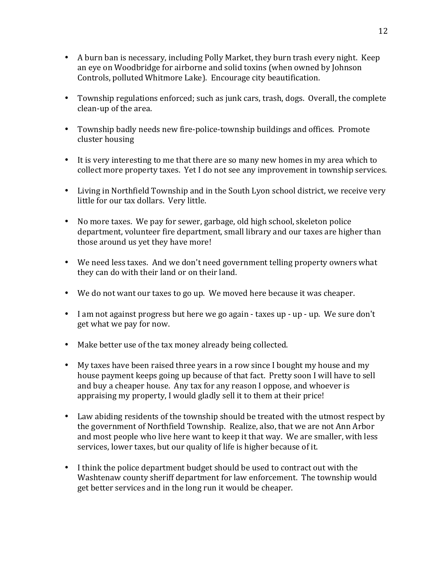- A burn ban is necessary, including Polly Market, they burn trash every night. Keep an eve on Woodbridge for airborne and solid toxins (when owned by Johnson Controls, polluted Whitmore Lake). Encourage city beautification.
- Township regulations enforced; such as junk cars, trash, dogs. Overall, the complete clean-up of the area.
- Township badly needs new fire-police-township buildings and offices. Promote cluster housing
- It is very interesting to me that there are so many new homes in my area which to collect more property taxes. Yet I do not see any improvement in township services.
- Living in Northfield Township and in the South Lyon school district, we receive very little for our tax dollars. Very little.
- No more taxes. We pay for sewer, garbage, old high school, skeleton police department, volunteer fire department, small library and our taxes are higher than those around us yet they have more!
- We need less taxes. And we don't need government telling property owners what they can do with their land or on their land.
- We do not want our taxes to go up. We moved here because it was cheaper.
- I am not against progress but here we go again taxes up up up. We sure don't get what we pay for now.
- Make better use of the tax money already being collected.
- My taxes have been raised three years in a row since I bought my house and my house payment keeps going up because of that fact. Pretty soon I will have to sell and buy a cheaper house. Any tax for any reason I oppose, and whoever is appraising my property, I would gladly sell it to them at their price!
- Law abiding residents of the township should be treated with the utmost respect by the government of Northfield Township. Realize, also, that we are not Ann Arbor and most people who live here want to keep it that way. We are smaller, with less services, lower taxes, but our quality of life is higher because of it.
- I think the police department budget should be used to contract out with the Washtenaw county sheriff department for law enforcement. The township would get better services and in the long run it would be cheaper.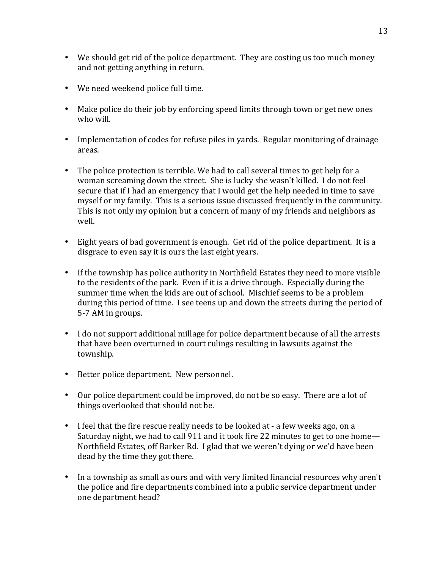- We should get rid of the police department. They are costing us too much money and not getting anything in return.
- We need weekend police full time.
- Make police do their job by enforcing speed limits through town or get new ones who will.
- Implementation of codes for refuse piles in yards. Regular monitoring of drainage areas.
- The police protection is terrible. We had to call several times to get help for a woman screaming down the street. She is lucky she wasn't killed. I do not feel secure that if I had an emergency that I would get the help needed in time to save myself or my family. This is a serious issue discussed frequently in the community. This is not only my opinion but a concern of many of my friends and neighbors as well.
- Eight years of bad government is enough. Get rid of the police department. It is a disgrace to even say it is ours the last eight years.
- If the township has police authority in Northfield Estates they need to more visible to the residents of the park. Even if it is a drive through. Especially during the summer time when the kids are out of school. Mischief seems to be a problem during this period of time. I see teens up and down the streets during the period of 5-7 AM in groups.
- I do not support additional millage for police department because of all the arrests that have been overturned in court rulings resulting in lawsuits against the township.
- Better police department. New personnel.
- Our police department could be improved, do not be so easy. There are a lot of things overlooked that should not be.
- I feel that the fire rescue really needs to be looked at a few weeks ago, on a Saturday night, we had to call 911 and it took fire 22 minutes to get to one home— Northfield Estates, off Barker Rd. I glad that we weren't dying or we'd have been dead by the time they got there.
- In a township as small as ours and with very limited financial resources why aren't the police and fire departments combined into a public service department under one department head?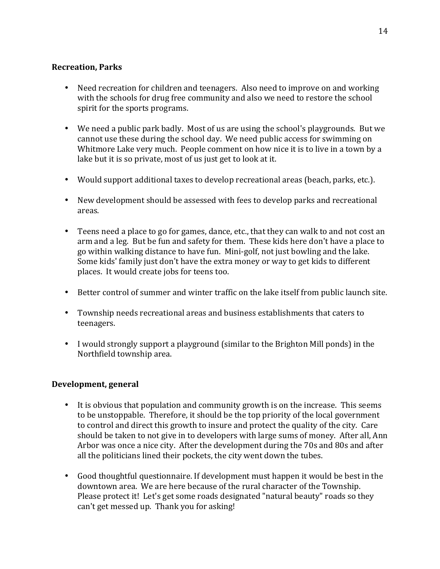# **Recreation, Parks**

- Need recreation for children and teenagers. Also need to improve on and working with the schools for drug free community and also we need to restore the school spirit for the sports programs.
- We need a public park badly. Most of us are using the school's playgrounds. But we cannot use these during the school day. We need public access for swimming on Whitmore Lake very much. People comment on how nice it is to live in a town by a lake but it is so private, most of us just get to look at it.
- Would support additional taxes to develop recreational areas (beach, parks, etc.).
- New development should be assessed with fees to develop parks and recreational areas.
- Teens need a place to go for games, dance, etc., that they can walk to and not cost an arm and a leg. But be fun and safety for them. These kids here don't have a place to go within walking distance to have fun. Mini-golf, not just bowling and the lake. Some kids' family just don't have the extra money or way to get kids to different places. It would create jobs for teens too.
- Better control of summer and winter traffic on the lake itself from public launch site.
- Township needs recreational areas and business establishments that caters to teenagers.
- I would strongly support a playground (similar to the Brighton Mill ponds) in the Northfield township area.

# **Development, general**

- It is obvious that population and community growth is on the increase. This seems to be unstoppable. Therefore, it should be the top priority of the local government to control and direct this growth to insure and protect the quality of the city. Care should be taken to not give in to developers with large sums of money. After all, Ann Arbor was once a nice city. After the development during the 70s and 80s and after all the politicians lined their pockets, the city went down the tubes.
- Good thoughtful questionnaire. If development must happen it would be best in the downtown area. We are here because of the rural character of the Township. Please protect it! Let's get some roads designated "natural beauty" roads so they can't get messed up. Thank you for asking!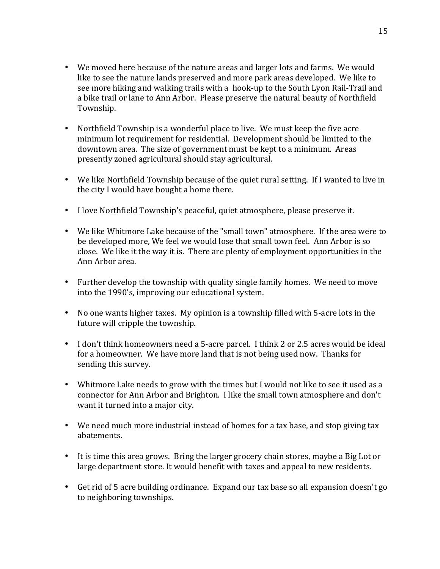- We moved here because of the nature areas and larger lots and farms. We would like to see the nature lands preserved and more park areas developed. We like to see more hiking and walking trails with a hook-up to the South Lyon Rail-Trail and a bike trail or lane to Ann Arbor. Please preserve the natural beauty of Northfield Township.
- Northfield Township is a wonderful place to live. We must keep the five acre minimum lot requirement for residential. Development should be limited to the downtown area. The size of government must be kept to a minimum. Areas presently zoned agricultural should stay agricultural.
- We like Northfield Township because of the quiet rural setting. If I wanted to live in the city I would have bought a home there.
- I love Northfield Township's peaceful, quiet atmosphere, please preserve it.
- We like Whitmore Lake because of the "small town" atmosphere. If the area were to be developed more, We feel we would lose that small town feel. Ann Arbor is so close. We like it the way it is. There are plenty of employment opportunities in the Ann Arbor area.
- Further develop the township with quality single family homes. We need to move into the 1990's, improving our educational system.
- No one wants higher taxes. My opinion is a township filled with 5-acre lots in the future will cripple the township.
- I don't think homeowners need a 5-acre parcel. I think 2 or 2.5 acres would be ideal for a homeowner. We have more land that is not being used now. Thanks for sending this survey.
- Whitmore Lake needs to grow with the times but I would not like to see it used as a connector for Ann Arbor and Brighton. I like the small town atmosphere and don't want it turned into a major city.
- We need much more industrial instead of homes for a tax base, and stop giving tax abatements.
- It is time this area grows. Bring the larger grocery chain stores, maybe a Big Lot or large department store. It would benefit with taxes and appeal to new residents.
- Get rid of 5 acre building ordinance. Expand our tax base so all expansion doesn't go to neighboring townships.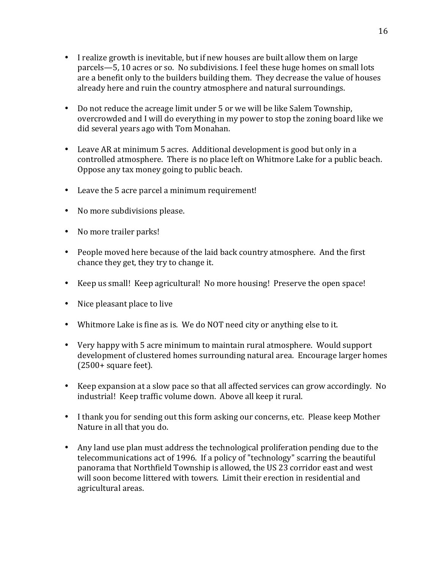- I realize growth is inevitable, but if new houses are built allow them on large parcels—5, 10 acres or so. No subdivisions. I feel these huge homes on small lots are a benefit only to the builders building them. They decrease the value of houses already here and ruin the country atmosphere and natural surroundings.
- Do not reduce the acreage limit under 5 or we will be like Salem Township, overcrowded and I will do everything in my power to stop the zoning board like we did several years ago with Tom Monahan.
- Leave AR at minimum 5 acres. Additional development is good but only in a controlled atmosphere. There is no place left on Whitmore Lake for a public beach. Oppose any tax money going to public beach.
- Leave the 5 acre parcel a minimum requirement!
- No more subdivisions please.
- No more trailer parks!
- People moved here because of the laid back country atmosphere. And the first chance they get, they try to change it.
- Keep us small! Keep agricultural! No more housing! Preserve the open space!
- Nice pleasant place to live
- Whitmore Lake is fine as is. We do NOT need city or anything else to it.
- Very happy with 5 acre minimum to maintain rural atmosphere. Would support development of clustered homes surrounding natural area. Encourage larger homes  $(2500 + square feet)$ .
- Keep expansion at a slow pace so that all affected services can grow accordingly. No industrial! Keep traffic volume down. Above all keep it rural.
- I thank you for sending out this form asking our concerns, etc. Please keep Mother Nature in all that you do.
- Any land use plan must address the technological proliferation pending due to the telecommunications act of 1996. If a policy of "technology" scarring the beautiful panorama that Northfield Township is allowed, the US 23 corridor east and west will soon become littered with towers. Limit their erection in residential and agricultural areas.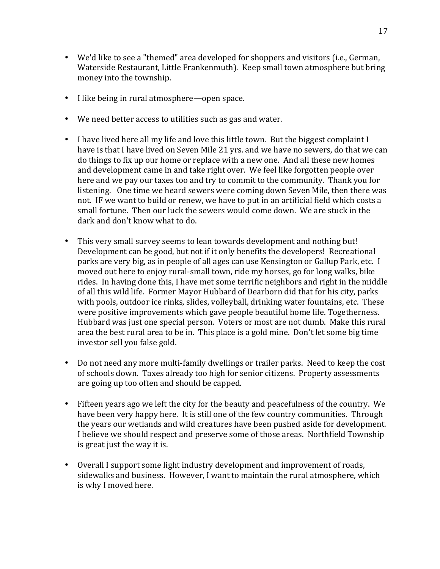- We'd like to see a "themed" area developed for shoppers and visitors (i.e., German, Waterside Restaurant, Little Frankenmuth). Keep small town atmosphere but bring money into the township.
- I like being in rural atmosphere—open space.
- We need better access to utilities such as gas and water.
- I have lived here all my life and love this little town. But the biggest complaint I have is that I have lived on Seven Mile 21 yrs. and we have no sewers, do that we can do things to fix up our home or replace with a new one. And all these new homes and development came in and take right over. We feel like forgotten people over here and we pay our taxes too and try to commit to the community. Thank you for listening. One time we heard sewers were coming down Seven Mile, then there was not. IF we want to build or renew, we have to put in an artificial field which costs a small fortune. Then our luck the sewers would come down. We are stuck in the dark and don't know what to do.
- This very small survey seems to lean towards development and nothing but! Development can be good, but not if it only benefits the developers! Recreational parks are very big, as in people of all ages can use Kensington or Gallup Park, etc. I moved out here to enjoy rural-small town, ride my horses, go for long walks, bike rides. In having done this, I have met some terrific neighbors and right in the middle of all this wild life. Former Mayor Hubbard of Dearborn did that for his city, parks with pools, outdoor ice rinks, slides, volleyball, drinking water fountains, etc. These were positive improvements which gave people beautiful home life. Togetherness. Hubbard was just one special person. Voters or most are not dumb. Make this rural area the best rural area to be in. This place is a gold mine. Don't let some big time investor sell you false gold.
- Do not need any more multi-family dwellings or trailer parks. Need to keep the cost of schools down. Taxes already too high for senior citizens. Property assessments are going up too often and should be capped.
- Fifteen years ago we left the city for the beauty and peacefulness of the country. We have been very happy here. It is still one of the few country communities. Through the years our wetlands and wild creatures have been pushed aside for development. I believe we should respect and preserve some of those areas. Northfield Township is great just the way it is.
- Overall I support some light industry development and improvement of roads, sidewalks and business. However, I want to maintain the rural atmosphere, which is why I moved here.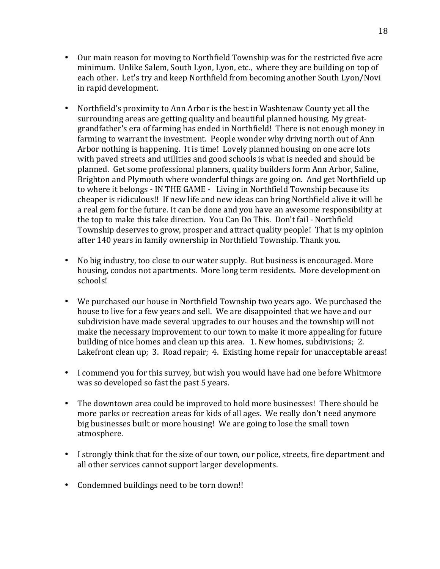- Our main reason for moving to Northfield Township was for the restricted five acre minimum. Unlike Salem, South Lyon, Lyon, etc., where they are building on top of each other. Let's try and keep Northfield from becoming another South Lyon/Novi in rapid development.
- Northfield's proximity to Ann Arbor is the best in Washtenaw County yet all the surrounding areas are getting quality and beautiful planned housing. My greatgrandfather's era of farming has ended in Northfield! There is not enough money in farming to warrant the investment. People wonder why driving north out of Ann Arbor nothing is happening. It is time! Lovely planned housing on one acre lots with paved streets and utilities and good schools is what is needed and should be planned. Get some professional planners, quality builders form Ann Arbor, Saline, Brighton and Plymouth where wonderful things are going on. And get Northfield up to where it belongs - IN THE GAME - Living in Northfield Township because its cheaper is ridiculous!! If new life and new ideas can bring Northfield alive it will be a real gem for the future. It can be done and you have an awesome responsibility at the top to make this take direction. You Can Do This. Don't fail - Northfield Township deserves to grow, prosper and attract quality people! That is my opinion after 140 years in family ownership in Northfield Township. Thank you.
- No big industry, too close to our water supply. But business is encouraged. More housing, condos not apartments. More long term residents. More development on schools!
- We purchased our house in Northfield Township two years ago. We purchased the house to live for a few years and sell. We are disappointed that we have and our subdivision have made several upgrades to our houses and the township will not make the necessary improvement to our town to make it more appealing for future building of nice homes and clean up this area. 1. New homes, subdivisions; 2. Lakefront clean up; 3. Road repair; 4. Existing home repair for unacceptable areas!
- I commend you for this survey, but wish you would have had one before Whitmore was so developed so fast the past 5 years.
- The downtown area could be improved to hold more businesses! There should be more parks or recreation areas for kids of all ages. We really don't need anymore big businesses built or more housing! We are going to lose the small town atmosphere.
- I strongly think that for the size of our town, our police, streets, fire department and all other services cannot support larger developments.
- Condemned buildings need to be torn down!!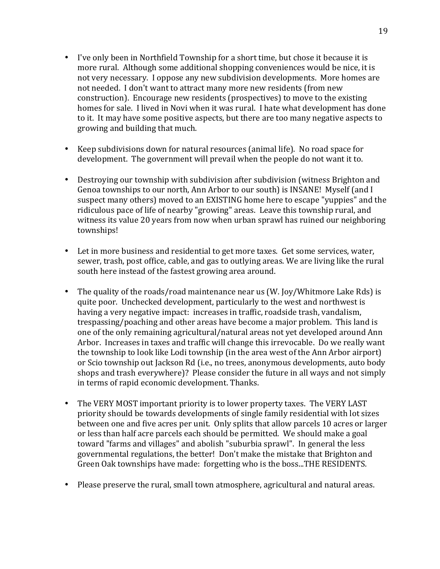- I've only been in Northfield Township for a short time, but chose it because it is more rural. Although some additional shopping conveniences would be nice, it is not very necessary. I oppose any new subdivision developments. More homes are not needed. I don't want to attract many more new residents (from new construction). Encourage new residents (prospectives) to move to the existing homes for sale. I lived in Novi when it was rural. I hate what development has done to it. It may have some positive aspects, but there are too many negative aspects to growing and building that much.
- Keep subdivisions down for natural resources (animal life). No road space for development. The government will prevail when the people do not want it to.
- Destroying our township with subdivision after subdivision (witness Brighton and Genoa townships to our north, Ann Arbor to our south) is INSANE! Myself (and I suspect many others) moved to an EXISTING home here to escape "yuppies" and the ridiculous pace of life of nearby "growing" areas. Leave this township rural, and witness its value 20 years from now when urban sprawl has ruined our neighboring townships!
- Let in more business and residential to get more taxes. Get some services, water, sewer, trash, post office, cable, and gas to outlying areas. We are living like the rural south here instead of the fastest growing area around.
- The quality of the roads/road maintenance near us (W. Joy/Whitmore Lake Rds) is quite poor. Unchecked development, particularly to the west and northwest is having a very negative impact: increases in traffic, roadside trash, vandalism, trespassing/poaching and other areas have become a major problem. This land is one of the only remaining agricultural/natural areas not yet developed around Ann Arbor. Increases in taxes and traffic will change this irrevocable. Do we really want the township to look like Lodi township (in the area west of the Ann Arbor airport) or Scio township out Jackson Rd (i.e., no trees, anonymous developments, auto body shops and trash everywhere)? Please consider the future in all ways and not simply in terms of rapid economic development. Thanks.
- The VERY MOST important priority is to lower property taxes. The VERY LAST priority should be towards developments of single family residential with lot sizes between one and five acres per unit. Only splits that allow parcels 10 acres or larger or less than half acre parcels each should be permitted. We should make a goal toward "farms and villages" and abolish "suburbia sprawl". In general the less governmental regulations, the better! Don't make the mistake that Brighton and Green Oak townships have made: forgetting who is the boss...THE RESIDENTS.
- Please preserve the rural, small town atmosphere, agricultural and natural areas.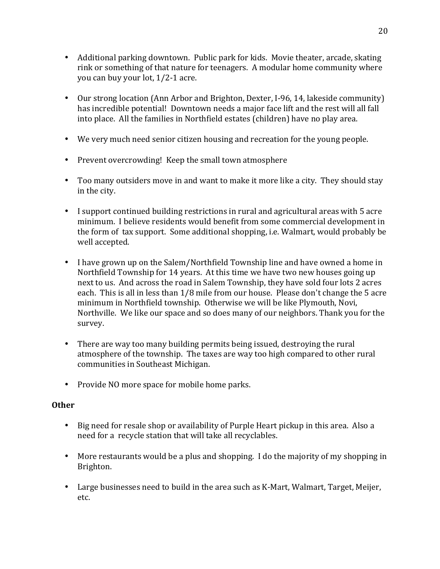- Additional parking downtown. Public park for kids. Movie theater, arcade, skating rink or something of that nature for teenagers. A modular home community where you can buy your lot, 1/2-1 acre.
- Our strong location (Ann Arbor and Brighton, Dexter, I-96, 14, lakeside community) has incredible potential! Downtown needs a major face lift and the rest will all fall into place. All the families in Northfield estates (children) have no play area.
- We very much need senior citizen housing and recreation for the young people.
- Prevent overcrowding! Keep the small town atmosphere
- Too many outsiders move in and want to make it more like a city. They should stay in the city.
- I support continued building restrictions in rural and agricultural areas with 5 acre minimum. I believe residents would benefit from some commercial development in the form of tax support. Some additional shopping, i.e. Walmart, would probably be well accepted.
- I have grown up on the Salem/Northfield Township line and have owned a home in Northfield Township for 14 years. At this time we have two new houses going up next to us. And across the road in Salem Township, they have sold four lots 2 acres each. This is all in less than 1/8 mile from our house. Please don't change the 5 acre minimum in Northfield township. Otherwise we will be like Plymouth, Novi, Northville. We like our space and so does many of our neighbors. Thank you for the survey.
- There are way too many building permits being issued, destroying the rural atmosphere of the township. The taxes are way too high compared to other rural communities in Southeast Michigan.
- Provide NO more space for mobile home parks.

# **Other**

- Big need for resale shop or availability of Purple Heart pickup in this area. Also a need for a recycle station that will take all recyclables.
- More restaurants would be a plus and shopping. I do the majority of my shopping in Brighton.
- Large businesses need to build in the area such as K-Mart, Walmart, Target, Meijer, etc.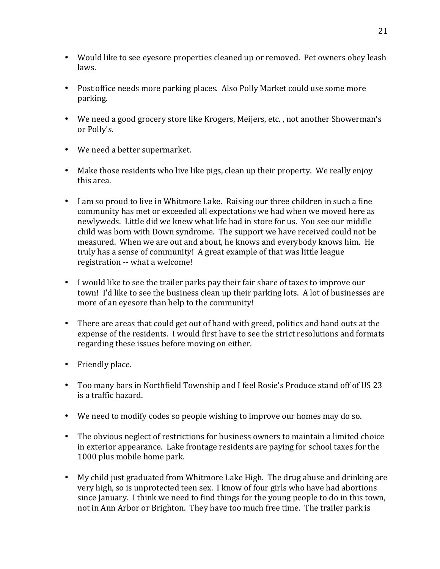- Would like to see eyesore properties cleaned up or removed. Pet owners obey leash laws.
- Post office needs more parking places. Also Polly Market could use some more parking.
- We need a good grocery store like Krogers, Meijers, etc., not another Showerman's or Polly's.
- We need a better supermarket.
- Make those residents who live like pigs, clean up their property. We really enjoy this area.
- I am so proud to live in Whitmore Lake. Raising our three children in such a fine community has met or exceeded all expectations we had when we moved here as newlyweds. Little did we knew what life had in store for us. You see our middle child was born with Down syndrome. The support we have received could not be measured. When we are out and about, he knows and everybody knows him. He truly has a sense of community! A great example of that was little league registration -- what a welcome!
- I would like to see the trailer parks pay their fair share of taxes to improve our town! I'd like to see the business clean up their parking lots. A lot of businesses are more of an evesore than help to the community!
- There are areas that could get out of hand with greed, politics and hand outs at the expense of the residents. I would first have to see the strict resolutions and formats regarding these issues before moving on either.
- Friendly place.
- Too many bars in Northfield Township and I feel Rosie's Produce stand off of US 23 is a traffic hazard.
- We need to modify codes so people wishing to improve our homes may do so.
- The obvious neglect of restrictions for business owners to maintain a limited choice in exterior appearance. Lake frontage residents are paying for school taxes for the 1000 plus mobile home park.
- My child just graduated from Whitmore Lake High. The drug abuse and drinking are very high, so is unprotected teen sex. I know of four girls who have had abortions since January. I think we need to find things for the young people to do in this town, not in Ann Arbor or Brighton. They have too much free time. The trailer park is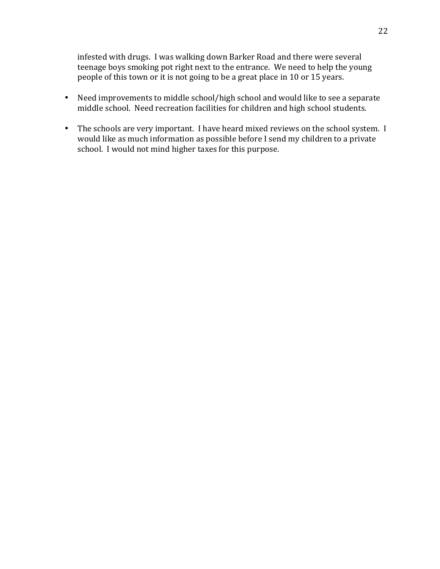infested with drugs. I was walking down Barker Road and there were several teenage boys smoking pot right next to the entrance. We need to help the young people of this town or it is not going to be a great place in 10 or 15 years.

- Need improvements to middle school/high school and would like to see a separate middle school. Need recreation facilities for children and high school students.
- The schools are very important. I have heard mixed reviews on the school system. I would like as much information as possible before I send my children to a private school. I would not mind higher taxes for this purpose.